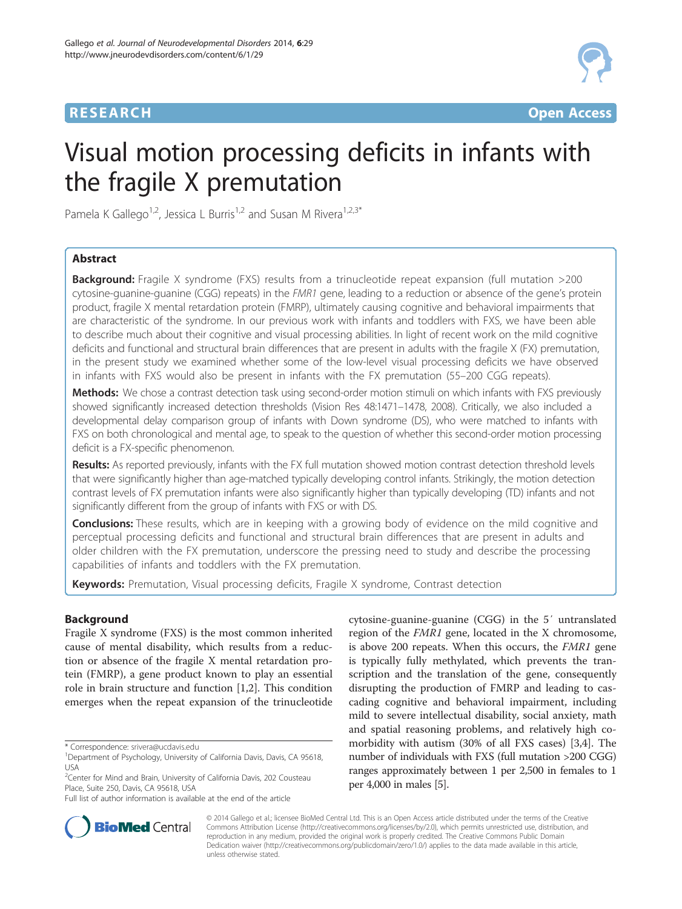## **RESEARCH CHE Open Access**



# Visual motion processing deficits in infants with the fragile X premutation

Pamela K Gallego<sup>1,2</sup>, Jessica L Burris<sup>1,2</sup> and Susan M Rivera<sup>1,2,3\*</sup>

## Abstract

**Background:** Fragile X syndrome (FXS) results from a trinucleotide repeat expansion (full mutation >200 cytosine-guanine-guanine (CGG) repeats) in the FMR1 gene, leading to a reduction or absence of the gene's protein product, fragile X mental retardation protein (FMRP), ultimately causing cognitive and behavioral impairments that are characteristic of the syndrome. In our previous work with infants and toddlers with FXS, we have been able to describe much about their cognitive and visual processing abilities. In light of recent work on the mild cognitive deficits and functional and structural brain differences that are present in adults with the fragile X (FX) premutation, in the present study we examined whether some of the low-level visual processing deficits we have observed in infants with FXS would also be present in infants with the FX premutation (55–200 CGG repeats).

Methods: We chose a contrast detection task using second-order motion stimuli on which infants with FXS previously showed significantly increased detection thresholds (Vision Res 48:1471–1478, 2008). Critically, we also included a developmental delay comparison group of infants with Down syndrome (DS), who were matched to infants with FXS on both chronological and mental age, to speak to the question of whether this second-order motion processing deficit is a FX-specific phenomenon.

Results: As reported previously, infants with the FX full mutation showed motion contrast detection threshold levels that were significantly higher than age-matched typically developing control infants. Strikingly, the motion detection contrast levels of FX premutation infants were also significantly higher than typically developing (TD) infants and not significantly different from the group of infants with FXS or with DS.

**Conclusions:** These results, which are in keeping with a growing body of evidence on the mild cognitive and perceptual processing deficits and functional and structural brain differences that are present in adults and older children with the FX premutation, underscore the pressing need to study and describe the processing capabilities of infants and toddlers with the FX premutation.

Keywords: Premutation, Visual processing deficits, Fragile X syndrome, Contrast detection

## Background

Fragile X syndrome (FXS) is the most common inherited cause of mental disability, which results from a reduction or absence of the fragile X mental retardation protein (FMRP), a gene product known to play an essential role in brain structure and function [[1,2\]](#page-6-0). This condition emerges when the repeat expansion of the trinucleotide cytosine-guanine-guanine (CGG) in the 5′ untranslated region of the FMR1 gene, located in the X chromosome, is above 200 repeats. When this occurs, the FMR1 gene is typically fully methylated, which prevents the transcription and the translation of the gene, consequently disrupting the production of FMRP and leading to cascading cognitive and behavioral impairment, including mild to severe intellectual disability, social anxiety, math and spatial reasoning problems, and relatively high comorbidity with autism (30% of all FXS cases) [\[3,4](#page-6-0)]. The number of individuals with FXS (full mutation >200 CGG) ranges approximately between 1 per 2,500 in females to 1 per 4,000 in males [\[5](#page-6-0)].



© 2014 Gallego et al.; licensee BioMed Central Ltd. This is an Open Access article distributed under the terms of the Creative Commons Attribution License [\(http://creativecommons.org/licenses/by/2.0\)](http://creativecommons.org/licenses/by/2.0), which permits unrestricted use, distribution, and reproduction in any medium, provided the original work is properly credited. The Creative Commons Public Domain Dedication waiver [\(http://creativecommons.org/publicdomain/zero/1.0/](http://creativecommons.org/publicdomain/zero/1.0/)) applies to the data made available in this article, unless otherwise stated.

<sup>\*</sup> Correspondence: [srivera@ucdavis.edu](mailto:srivera@ucdavis.edu) <sup>1</sup>

<sup>&</sup>lt;sup>1</sup>Department of Psychology, University of California Davis, Davis, CA 95618, USA

<sup>&</sup>lt;sup>2</sup> Center for Mind and Brain, University of California Davis, 202 Cousteau Place, Suite 250, Davis, CA 95618, USA

Full list of author information is available at the end of the article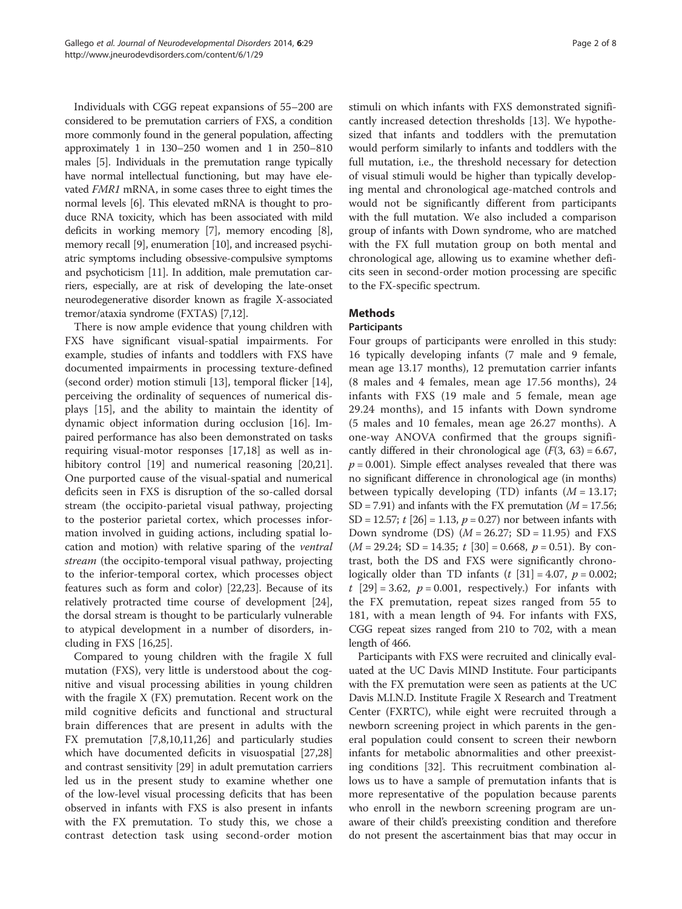Individuals with CGG repeat expansions of 55–200 are considered to be premutation carriers of FXS, a condition more commonly found in the general population, affecting approximately 1 in 130–250 women and 1 in 250–810 males [[5\]](#page-6-0). Individuals in the premutation range typically have normal intellectual functioning, but may have elevated FMR1 mRNA, in some cases three to eight times the normal levels [[6](#page-6-0)]. This elevated mRNA is thought to produce RNA toxicity, which has been associated with mild deficits in working memory [\[7](#page-6-0)], memory encoding [[8](#page-6-0)], memory recall [\[9](#page-6-0)], enumeration [\[10](#page-7-0)], and increased psychiatric symptoms including obsessive-compulsive symptoms and psychoticism [\[11\]](#page-7-0). In addition, male premutation carriers, especially, are at risk of developing the late-onset neurodegenerative disorder known as fragile X-associated tremor/ataxia syndrome (FXTAS) [\[7](#page-6-0)[,12\]](#page-7-0).

There is now ample evidence that young children with FXS have significant visual-spatial impairments. For example, studies of infants and toddlers with FXS have documented impairments in processing texture-defined (second order) motion stimuli [\[13\]](#page-7-0), temporal flicker [\[14](#page-7-0)], perceiving the ordinality of sequences of numerical displays [\[15](#page-7-0)], and the ability to maintain the identity of dynamic object information during occlusion [[16\]](#page-7-0). Impaired performance has also been demonstrated on tasks requiring visual-motor responses [[17,18\]](#page-7-0) as well as in-hibitory control [\[19](#page-7-0)] and numerical reasoning [\[20,21](#page-7-0)]. One purported cause of the visual-spatial and numerical deficits seen in FXS is disruption of the so-called dorsal stream (the occipito-parietal visual pathway, projecting to the posterior parietal cortex, which processes information involved in guiding actions, including spatial location and motion) with relative sparing of the ventral stream (the occipito-temporal visual pathway, projecting to the inferior-temporal cortex, which processes object features such as form and color) [\[22,23](#page-7-0)]. Because of its relatively protracted time course of development [\[24](#page-7-0)], the dorsal stream is thought to be particularly vulnerable to atypical development in a number of disorders, including in FXS [[16,25](#page-7-0)].

Compared to young children with the fragile X full mutation (FXS), very little is understood about the cognitive and visual processing abilities in young children with the fragile X (FX) premutation. Recent work on the mild cognitive deficits and functional and structural brain differences that are present in adults with the FX premutation [\[7,8](#page-6-0),[10,11,26](#page-7-0)] and particularly studies which have documented deficits in visuospatial [[27](#page-7-0),[28](#page-7-0)] and contrast sensitivity [[29\]](#page-7-0) in adult premutation carriers led us in the present study to examine whether one of the low-level visual processing deficits that has been observed in infants with FXS is also present in infants with the FX premutation. To study this, we chose a contrast detection task using second-order motion stimuli on which infants with FXS demonstrated significantly increased detection thresholds [\[13](#page-7-0)]. We hypothesized that infants and toddlers with the premutation would perform similarly to infants and toddlers with the full mutation, i.e., the threshold necessary for detection of visual stimuli would be higher than typically developing mental and chronological age-matched controls and would not be significantly different from participants with the full mutation. We also included a comparison group of infants with Down syndrome, who are matched with the FX full mutation group on both mental and chronological age, allowing us to examine whether deficits seen in second-order motion processing are specific to the FX-specific spectrum.

## Methods

## Participants

Four groups of participants were enrolled in this study: 16 typically developing infants (7 male and 9 female, mean age 13.17 months), 12 premutation carrier infants (8 males and 4 females, mean age 17.56 months), 24 infants with FXS (19 male and 5 female, mean age 29.24 months), and 15 infants with Down syndrome (5 males and 10 females, mean age 26.27 months). A one-way ANOVA confirmed that the groups significantly differed in their chronological age  $(F(3, 63) = 6.67,$  $p = 0.001$ ). Simple effect analyses revealed that there was no significant difference in chronological age (in months) between typically developing (TD) infants  $(M = 13.17;$  $SD = 7.91$ ) and infants with the FX premutation ( $M = 17.56$ ; SD = 12.57;  $t$  [[26](#page-7-0)] = 1.13,  $p = 0.27$ ) nor between infants with Down syndrome (DS)  $(M = 26.27; SD = 11.95)$  and FXS  $(M = 29.24; SD = 14.35; t [30] = 0.668, p = 0.51)$  $(M = 29.24; SD = 14.35; t [30] = 0.668, p = 0.51)$  $(M = 29.24; SD = 14.35; t [30] = 0.668, p = 0.51)$ . By contrast, both the DS and FXS were significantly chronologically older than TD infants  $(t \mid 31] = 4.07$  $(t \mid 31] = 4.07$  $(t \mid 31] = 4.07$ ,  $p = 0.002$ ;  $t$  [[29\]](#page-7-0) = 3.62,  $p = 0.001$ , respectively.) For infants with the FX premutation, repeat sizes ranged from 55 to 181, with a mean length of 94. For infants with FXS, CGG repeat sizes ranged from 210 to 702, with a mean length of 466.

Participants with FXS were recruited and clinically evaluated at the UC Davis MIND Institute. Four participants with the FX premutation were seen as patients at the UC Davis M.I.N.D. Institute Fragile X Research and Treatment Center (FXRTC), while eight were recruited through a newborn screening project in which parents in the general population could consent to screen their newborn infants for metabolic abnormalities and other preexisting conditions [[32\]](#page-7-0). This recruitment combination allows us to have a sample of premutation infants that is more representative of the population because parents who enroll in the newborn screening program are unaware of their child's preexisting condition and therefore do not present the ascertainment bias that may occur in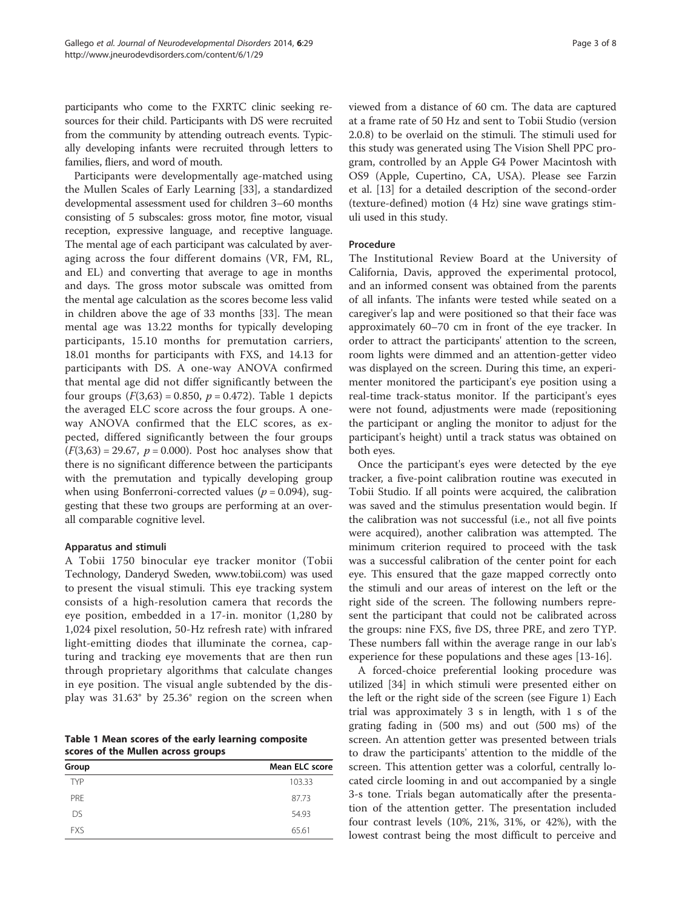participants who come to the FXRTC clinic seeking resources for their child. Participants with DS were recruited from the community by attending outreach events. Typically developing infants were recruited through letters to families, fliers, and word of mouth.

Participants were developmentally age-matched using the Mullen Scales of Early Learning [\[33](#page-7-0)], a standardized developmental assessment used for children 3–60 months consisting of 5 subscales: gross motor, fine motor, visual reception, expressive language, and receptive language. The mental age of each participant was calculated by averaging across the four different domains (VR, FM, RL, and EL) and converting that average to age in months and days. The gross motor subscale was omitted from the mental age calculation as the scores become less valid in children above the age of 33 months [\[33](#page-7-0)]. The mean mental age was 13.22 months for typically developing participants, 15.10 months for premutation carriers, 18.01 months for participants with FXS, and 14.13 for participants with DS. A one-way ANOVA confirmed that mental age did not differ significantly between the four groups  $(F(3,63) = 0.850, p = 0.472)$ . Table 1 depicts the averaged ELC score across the four groups. A oneway ANOVA confirmed that the ELC scores, as expected, differed significantly between the four groups  $(F(3,63) = 29.67, p = 0.000)$ . Post hoc analyses show that there is no significant difference between the participants with the premutation and typically developing group when using Bonferroni-corrected values ( $p = 0.094$ ), suggesting that these two groups are performing at an overall comparable cognitive level.

## Apparatus and stimuli

A Tobii 1750 binocular eye tracker monitor (Tobii Technology, Danderyd Sweden, [www.tobii.com\)](http://www.tobii.com) was used to present the visual stimuli. This eye tracking system consists of a high-resolution camera that records the eye position, embedded in a 17-in. monitor (1,280 by 1,024 pixel resolution, 50-Hz refresh rate) with infrared light-emitting diodes that illuminate the cornea, capturing and tracking eye movements that are then run through proprietary algorithms that calculate changes in eye position. The visual angle subtended by the display was 31.63° by 25.36° region on the screen when

Table 1 Mean scores of the early learning composite scores of the Mullen across groups

| Group      | Mean ELC score |
|------------|----------------|
| <b>TYP</b> | 103.33         |
| <b>PRF</b> | 87.73          |
| DS.        | 54.93          |
| <b>FXS</b> | 65.61          |

viewed from a distance of 60 cm. The data are captured at a frame rate of 50 Hz and sent to Tobii Studio (version 2.0.8) to be overlaid on the stimuli. The stimuli used for this study was generated using The Vision Shell PPC program, controlled by an Apple G4 Power Macintosh with OS9 (Apple, Cupertino, CA, USA). Please see Farzin et al. [[13\]](#page-7-0) for a detailed description of the second-order (texture-defined) motion (4 Hz) sine wave gratings stimuli used in this study.

## Procedure

The Institutional Review Board at the University of California, Davis, approved the experimental protocol, and an informed consent was obtained from the parents of all infants. The infants were tested while seated on a caregiver's lap and were positioned so that their face was approximately 60–70 cm in front of the eye tracker. In order to attract the participants' attention to the screen, room lights were dimmed and an attention-getter video was displayed on the screen. During this time, an experimenter monitored the participant's eye position using a real-time track-status monitor. If the participant's eyes were not found, adjustments were made (repositioning the participant or angling the monitor to adjust for the participant's height) until a track status was obtained on both eyes.

Once the participant's eyes were detected by the eye tracker, a five-point calibration routine was executed in Tobii Studio. If all points were acquired, the calibration was saved and the stimulus presentation would begin. If the calibration was not successful (i.e., not all five points were acquired), another calibration was attempted. The minimum criterion required to proceed with the task was a successful calibration of the center point for each eye. This ensured that the gaze mapped correctly onto the stimuli and our areas of interest on the left or the right side of the screen. The following numbers represent the participant that could not be calibrated across the groups: nine FXS, five DS, three PRE, and zero TYP. These numbers fall within the average range in our lab's experience for these populations and these ages [\[13-16](#page-7-0)].

A forced-choice preferential looking procedure was utilized [\[34\]](#page-7-0) in which stimuli were presented either on the left or the right side of the screen (see Figure [1\)](#page-3-0) Each trial was approximately 3 s in length, with 1 s of the grating fading in (500 ms) and out (500 ms) of the screen. An attention getter was presented between trials to draw the participants' attention to the middle of the screen. This attention getter was a colorful, centrally located circle looming in and out accompanied by a single 3-s tone. Trials began automatically after the presentation of the attention getter. The presentation included four contrast levels (10%, 21%, 31%, or 42%), with the lowest contrast being the most difficult to perceive and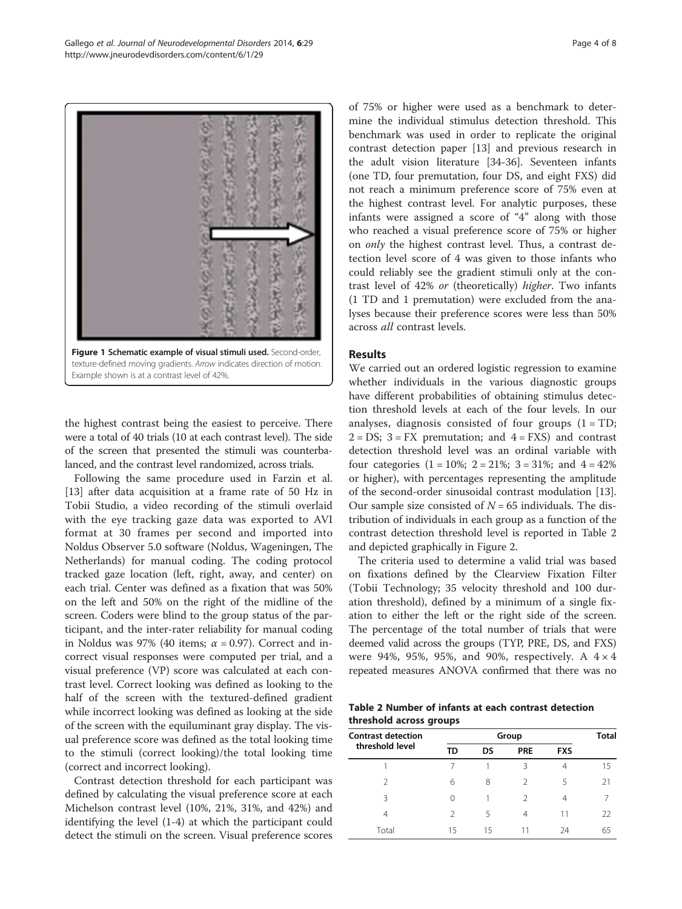the highest contrast being the easiest to perceive. There were a total of 40 trials (10 at each contrast level). The side of the screen that presented the stimuli was counterbalanced, and the contrast level randomized, across trials.

Following the same procedure used in Farzin et al. [[13\]](#page-7-0) after data acquisition at a frame rate of 50 Hz in Tobii Studio, a video recording of the stimuli overlaid with the eye tracking gaze data was exported to AVI format at 30 frames per second and imported into Noldus Observer 5.0 software (Noldus, Wageningen, The Netherlands) for manual coding. The coding protocol tracked gaze location (left, right, away, and center) on each trial. Center was defined as a fixation that was 50% on the left and 50% on the right of the midline of the screen. Coders were blind to the group status of the participant, and the inter-rater reliability for manual coding in Noldus was 97% (40 items;  $\alpha$  = 0.97). Correct and incorrect visual responses were computed per trial, and a visual preference (VP) score was calculated at each contrast level. Correct looking was defined as looking to the half of the screen with the textured-defined gradient while incorrect looking was defined as looking at the side of the screen with the equiluminant gray display. The visual preference score was defined as the total looking time to the stimuli (correct looking)/the total looking time (correct and incorrect looking).

Contrast detection threshold for each participant was defined by calculating the visual preference score at each Michelson contrast level (10%, 21%, 31%, and 42%) and identifying the level (1-4) at which the participant could detect the stimuli on the screen. Visual preference scores of 75% or higher were used as a benchmark to determine the individual stimulus detection threshold. This benchmark was used in order to replicate the original contrast detection paper [[13](#page-7-0)] and previous research in the adult vision literature [\[34](#page-7-0)-[36\]](#page-7-0). Seventeen infants (one TD, four premutation, four DS, and eight FXS) did not reach a minimum preference score of 75% even at the highest contrast level. For analytic purposes, these infants were assigned a score of "4" along with those who reached a visual preference score of 75% or higher on only the highest contrast level. Thus, a contrast detection level score of 4 was given to those infants who could reliably see the gradient stimuli only at the contrast level of 42% or (theoretically) higher. Two infants (1 TD and 1 premutation) were excluded from the analyses because their preference scores were less than 50% across all contrast levels.

## Results

We carried out an ordered logistic regression to examine whether individuals in the various diagnostic groups have different probabilities of obtaining stimulus detection threshold levels at each of the four levels. In our analyses, diagnosis consisted of four groups  $(1 = TD;$  $2 = DS$ ;  $3 = FX$  premutation; and  $4 = FXS$ ) and contrast detection threshold level was an ordinal variable with four categories  $(1 = 10\%; 2 = 21\%; 3 = 31\%;$  and  $4 = 42\%$ or higher), with percentages representing the amplitude of the second-order sinusoidal contrast modulation [\[13](#page-7-0)]. Our sample size consisted of  $N = 65$  individuals. The distribution of individuals in each group as a function of the contrast detection threshold level is reported in Table 2 and depicted graphically in Figure [2](#page-4-0).

The criteria used to determine a valid trial was based on fixations defined by the Clearview Fixation Filter (Tobii Technology; 35 velocity threshold and 100 duration threshold), defined by a minimum of a single fixation to either the left or the right side of the screen. The percentage of the total number of trials that were deemed valid across the groups (TYP, PRE, DS, and FXS) were 94%, 95%, 95%, and 90%, respectively. A  $4 \times 4$ repeated measures ANOVA confirmed that there was no

Table 2 Number of infants at each contrast detection threshold across groups

| <b>Contrast detection</b><br>threshold level | Group |    |            |            | <b>Total</b> |
|----------------------------------------------|-------|----|------------|------------|--------------|
|                                              | TD    | DS | <b>PRE</b> | <b>FXS</b> |              |
|                                              |       |    | 3          | 4          | 15           |
| 2                                            | 6     | 8  | 2          | 5          | 21           |
| Β                                            | 0     |    | 2          | 4          |              |
| 4                                            | 2     | 5  | 4          | 11         | 22           |
| Total                                        | 15    | 15 |            | 24         | 65           |

<span id="page-3-0"></span>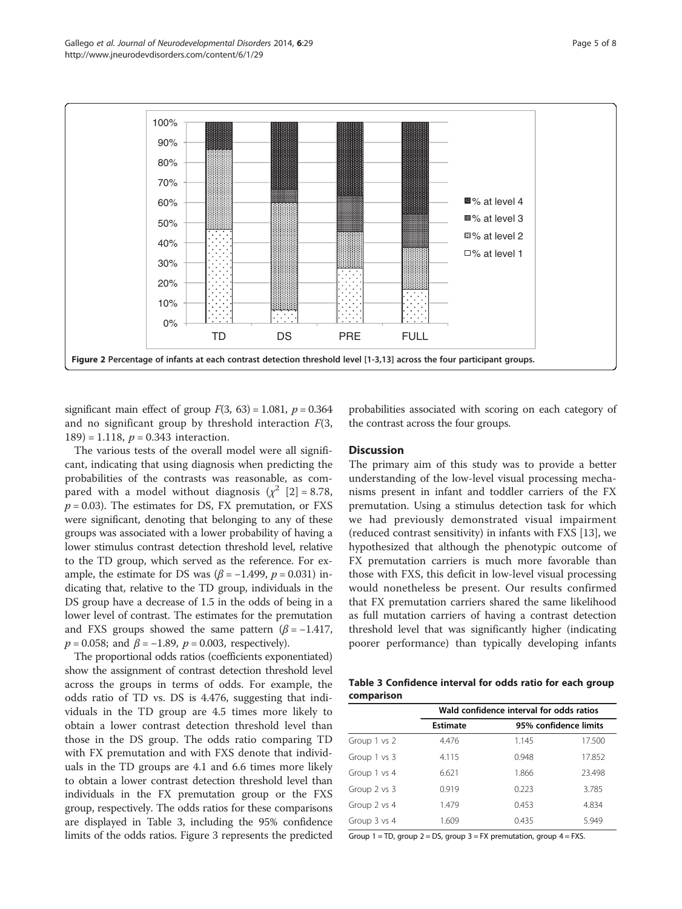<span id="page-4-0"></span>

significant main effect of group  $F(3, 63) = 1.081$ ,  $p = 0.364$ and no significant group by threshold interaction  $F(3)$ , 189) = 1.118,  $p = 0.343$  interaction.

The various tests of the overall model were all significant, indicating that using diagnosis when predicting the probabilities of the contrasts was reasonable, as compared with a model without diagnosis  $(\chi^2 \mid 2] = 8.78$  $(\chi^2 \mid 2] = 8.78$  $(\chi^2 \mid 2] = 8.78$ ,  $p = 0.03$ ). The estimates for DS, FX premutation, or FXS were significant, denoting that belonging to any of these groups was associated with a lower probability of having a lower stimulus contrast detection threshold level, relative to the TD group, which served as the reference. For example, the estimate for DS was ( $\beta$  = -1.499, p = 0.031) indicating that, relative to the TD group, individuals in the DS group have a decrease of 1.5 in the odds of being in a lower level of contrast. The estimates for the premutation and FXS groups showed the same pattern  $(\beta = -1.417)$ ,  $p = 0.058$ ; and  $\beta = -1.89$ ,  $p = 0.003$ , respectively).

The proportional odds ratios (coefficients exponentiated) show the assignment of contrast detection threshold level across the groups in terms of odds. For example, the odds ratio of TD vs. DS is 4.476, suggesting that individuals in the TD group are 4.5 times more likely to obtain a lower contrast detection threshold level than those in the DS group. The odds ratio comparing TD with FX premutation and with FXS denote that individuals in the TD groups are 4.1 and 6.6 times more likely to obtain a lower contrast detection threshold level than individuals in the FX premutation group or the FXS group, respectively. The odds ratios for these comparisons are displayed in Table 3, including the 95% confidence limits of the odds ratios. Figure [3](#page-5-0) represents the predicted probabilities associated with scoring on each category of the contrast across the four groups.

## **Discussion**

The primary aim of this study was to provide a better understanding of the low-level visual processing mechanisms present in infant and toddler carriers of the FX premutation. Using a stimulus detection task for which we had previously demonstrated visual impairment (reduced contrast sensitivity) in infants with FXS [\[13](#page-7-0)], we hypothesized that although the phenotypic outcome of FX premutation carriers is much more favorable than those with FXS, this deficit in low-level visual processing would nonetheless be present. Our results confirmed that FX premutation carriers shared the same likelihood as full mutation carriers of having a contrast detection threshold level that was significantly higher (indicating poorer performance) than typically developing infants

Table 3 Confidence interval for odds ratio for each group comparison

|              | Wald confidence interval for odds ratios |       |                       |  |
|--------------|------------------------------------------|-------|-----------------------|--|
|              | <b>Estimate</b>                          |       | 95% confidence limits |  |
| Group 1 vs 2 | 4.476                                    | 1.145 | 17.500                |  |
| Group 1 vs 3 | 4.115                                    | 0.948 | 17.852                |  |
| Group 1 vs 4 | 6.621                                    | 1.866 | 23.498                |  |
| Group 2 vs 3 | 0.919                                    | 0.223 | 3.785                 |  |
| Group 2 vs 4 | 1.479                                    | 0.453 | 4.834                 |  |
| Group 3 vs 4 | 1.609                                    | 0.435 | 5.949                 |  |

Group  $1 = TD$ , group  $2 = DS$ , group  $3 = FX$  premutation, group  $4 = FXS$ .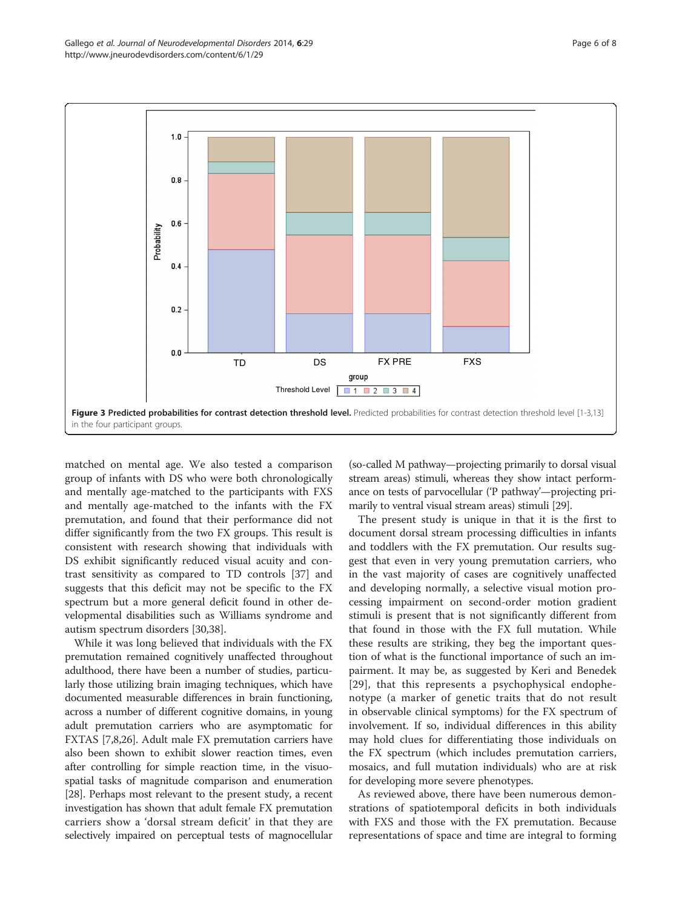<span id="page-5-0"></span>

matched on mental age. We also tested a comparison group of infants with DS who were both chronologically and mentally age-matched to the participants with FXS and mentally age-matched to the infants with the FX premutation, and found that their performance did not differ significantly from the two FX groups. This result is consistent with research showing that individuals with DS exhibit significantly reduced visual acuity and contrast sensitivity as compared to TD controls [[37](#page-7-0)] and suggests that this deficit may not be specific to the FX spectrum but a more general deficit found in other developmental disabilities such as Williams syndrome and autism spectrum disorders [[30](#page-7-0),[38](#page-7-0)].

While it was long believed that individuals with the FX premutation remained cognitively unaffected throughout adulthood, there have been a number of studies, particularly those utilizing brain imaging techniques, which have documented measurable differences in brain functioning, across a number of different cognitive domains, in young adult premutation carriers who are asymptomatic for FXTAS [\[7,8](#page-6-0)[,26](#page-7-0)]. Adult male FX premutation carriers have also been shown to exhibit slower reaction times, even after controlling for simple reaction time, in the visuospatial tasks of magnitude comparison and enumeration [[28](#page-7-0)]. Perhaps most relevant to the present study, a recent investigation has shown that adult female FX premutation carriers show a 'dorsal stream deficit' in that they are selectively impaired on perceptual tests of magnocellular (so-called M pathway—projecting primarily to dorsal visual stream areas) stimuli, whereas they show intact performance on tests of parvocellular ('P pathway'—projecting primarily to ventral visual stream areas) stimuli [\[29\]](#page-7-0).

The present study is unique in that it is the first to document dorsal stream processing difficulties in infants and toddlers with the FX premutation. Our results suggest that even in very young premutation carriers, who in the vast majority of cases are cognitively unaffected and developing normally, a selective visual motion processing impairment on second-order motion gradient stimuli is present that is not significantly different from that found in those with the FX full mutation. While these results are striking, they beg the important question of what is the functional importance of such an impairment. It may be, as suggested by Keri and Benedek [[29](#page-7-0)], that this represents a psychophysical endophenotype (a marker of genetic traits that do not result in observable clinical symptoms) for the FX spectrum of involvement. If so, individual differences in this ability may hold clues for differentiating those individuals on the FX spectrum (which includes premutation carriers, mosaics, and full mutation individuals) who are at risk for developing more severe phenotypes.

As reviewed above, there have been numerous demonstrations of spatiotemporal deficits in both individuals with FXS and those with the FX premutation. Because representations of space and time are integral to forming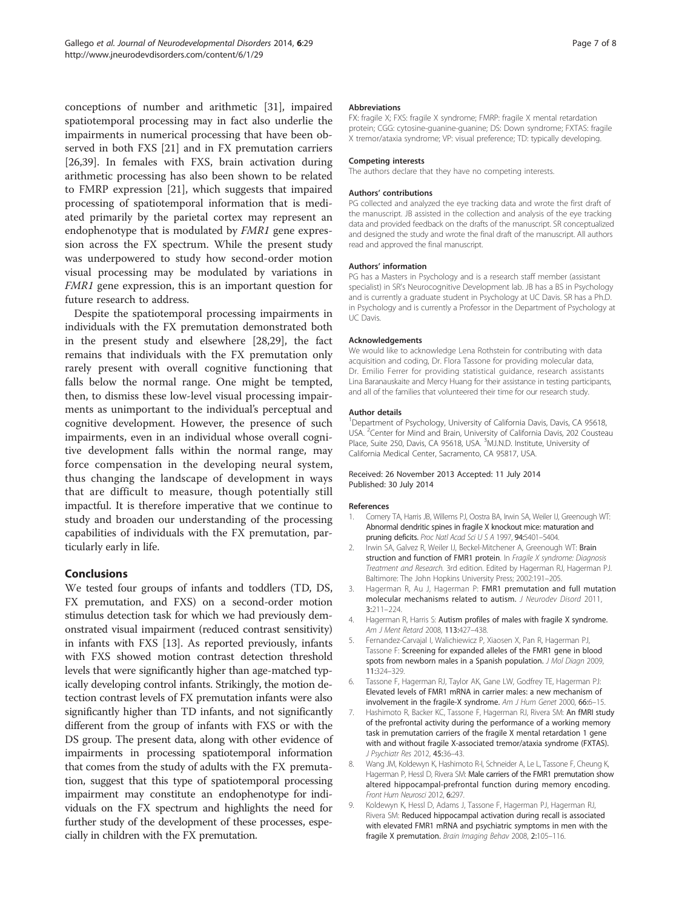<span id="page-6-0"></span>conceptions of number and arithmetic [[31](#page-7-0)], impaired spatiotemporal processing may in fact also underlie the impairments in numerical processing that have been observed in both FXS [[21\]](#page-7-0) and in FX premutation carriers [[26,39\]](#page-7-0). In females with FXS, brain activation during arithmetic processing has also been shown to be related to FMRP expression [\[21\]](#page-7-0), which suggests that impaired processing of spatiotemporal information that is mediated primarily by the parietal cortex may represent an endophenotype that is modulated by FMR1 gene expression across the FX spectrum. While the present study was underpowered to study how second-order motion visual processing may be modulated by variations in FMR1 gene expression, this is an important question for future research to address.

Despite the spatiotemporal processing impairments in individuals with the FX premutation demonstrated both in the present study and elsewhere [[28,29](#page-7-0)], the fact remains that individuals with the FX premutation only rarely present with overall cognitive functioning that falls below the normal range. One might be tempted, then, to dismiss these low-level visual processing impairments as unimportant to the individual's perceptual and cognitive development. However, the presence of such impairments, even in an individual whose overall cognitive development falls within the normal range, may force compensation in the developing neural system, thus changing the landscape of development in ways that are difficult to measure, though potentially still impactful. It is therefore imperative that we continue to study and broaden our understanding of the processing capabilities of individuals with the FX premutation, particularly early in life.

## Conclusions

We tested four groups of infants and toddlers (TD, DS, FX premutation, and FXS) on a second-order motion stimulus detection task for which we had previously demonstrated visual impairment (reduced contrast sensitivity) in infants with FXS [\[13\]](#page-7-0). As reported previously, infants with FXS showed motion contrast detection threshold levels that were significantly higher than age-matched typically developing control infants. Strikingly, the motion detection contrast levels of FX premutation infants were also significantly higher than TD infants, and not significantly different from the group of infants with FXS or with the DS group. The present data, along with other evidence of impairments in processing spatiotemporal information that comes from the study of adults with the FX premutation, suggest that this type of spatiotemporal processing impairment may constitute an endophenotype for individuals on the FX spectrum and highlights the need for further study of the development of these processes, especially in children with the FX premutation.

#### Abbreviations

FX: fragile X; FXS: fragile X syndrome; FMRP: fragile X mental retardation protein; CGG: cytosine-guanine-guanine; DS: Down syndrome; FXTAS: fragile X tremor/ataxia syndrome; VP: visual preference; TD: typically developing.

#### Competing interests

The authors declare that they have no competing interests.

#### Authors' contributions

PG collected and analyzed the eye tracking data and wrote the first draft of the manuscript. JB assisted in the collection and analysis of the eye tracking data and provided feedback on the drafts of the manuscript. SR conceptualized and designed the study and wrote the final draft of the manuscript. All authors read and approved the final manuscript.

#### Authors' information

PG has a Masters in Psychology and is a research staff member (assistant specialist) in SR's Neurocognitive Development lab. JB has a BS in Psychology and is currently a graduate student in Psychology at UC Davis. SR has a Ph.D. in Psychology and is currently a Professor in the Department of Psychology at UC Davis.

#### Acknowledgements

We would like to acknowledge Lena Rothstein for contributing with data acquisition and coding, Dr. Flora Tassone for providing molecular data, Dr. Emilio Ferrer for providing statistical guidance, research assistants Lina Baranauskaite and Mercy Huang for their assistance in testing participants, and all of the families that volunteered their time for our research study.

#### Author details

<sup>1</sup>Department of Psychology, University of California Davis, Davis, CA 95618, USA. <sup>2</sup> Center for Mind and Brain, University of California Davis, 202 Cousteau Place, Suite 250, Davis, CA 95618, USA. <sup>3</sup>M.I.N.D. Institute, University of California Medical Center, Sacramento, CA 95817, USA.

#### Received: 26 November 2013 Accepted: 11 July 2014 Published: 30 July 2014

#### References

- 1. Comery TA, Harris JB, Willems PJ, Oostra BA, Irwin SA, Weiler IJ, Greenough WT: Abnormal dendritic spines in fragile X knockout mice: maturation and pruning deficits. Proc Natl Acad Sci U S A 1997, 94:5401-5404.
- 2. Irwin SA, Galvez R, Weiler IJ, Beckel-Mitchener A, Greenough WT: Brain struction and function of FMR1 protein. In Fragile X syndrome: Diagnosis Treatment and Research. 3rd edition. Edited by Hagerman RJ, Hagerman PJ. Baltimore: The John Hopkins University Press; 2002:191–205.
- 3. Hagerman R, Au J, Hagerman P: FMR1 premutation and full mutation molecular mechanisms related to autism. J Neurodev Disord 2011, 3:211–224.
- 4. Hagerman R, Harris S: Autism profiles of males with fragile X syndrome. Am J Ment Retard 2008, 113:427–438.
- 5. Fernandez-Carvajal I, Walichiewicz P, Xiaosen X, Pan R, Hagerman PJ, Tassone F: Screening for expanded alleles of the FMR1 gene in blood spots from newborn males in a Spanish population. J Mol Diagn 2009, 11:324–329.
- 6. Tassone F, Hagerman RJ, Taylor AK, Gane LW, Godfrey TE, Hagerman PJ: Elevated levels of FMR1 mRNA in carrier males: a new mechanism of involvement in the fragile-X syndrome. Am J Hum Genet 2000, 66:6–15.
- 7. Hashimoto R, Backer KC, Tassone F, Hagerman RJ, Rivera SM: An fMRI study of the prefrontal activity during the performance of a working memory task in premutation carriers of the fragile X mental retardation 1 gene with and without fragile X-associated tremor/ataxia syndrome (FXTAS). J Psychiatr Res 2012, 45:36–43.
- 8. Wang JM, Koldewyn K, Hashimoto R-I, Schneider A, Le L, Tassone F, Cheung K, Hagerman P, Hessl D, Rivera SM: Male carriers of the FMR1 premutation show altered hippocampal-prefrontal function during memory encoding. Front Hum Neurosci 2012, 6:297.
- 9. Koldewyn K, Hessl D, Adams J, Tassone F, Hagerman PJ, Hagerman RJ, Rivera SM: Reduced hippocampal activation during recall is associated with elevated FMR1 mRNA and psychiatric symptoms in men with the fragile X premutation. Brain Imaging Behav 2008, 2:105–116.